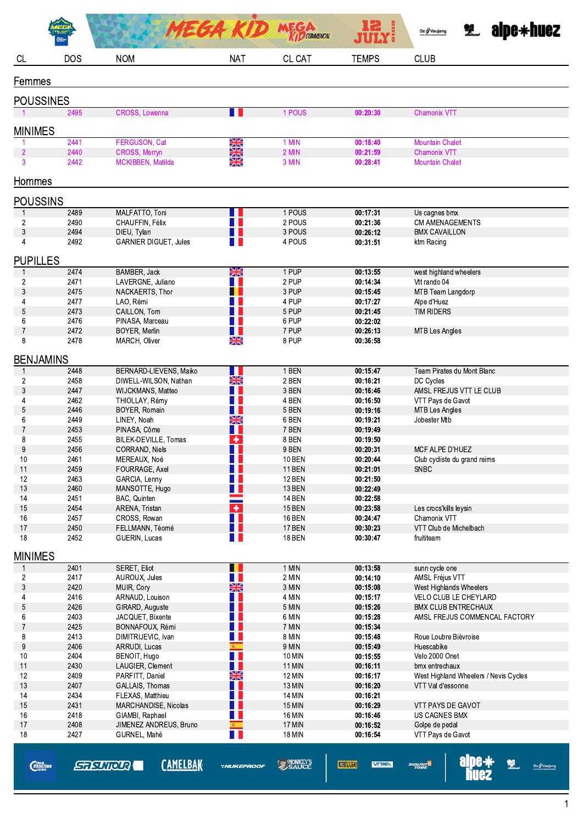|                        |              |                                             | MEGA KID                       | <b>MEGA</b>                    | 12<br>JULY 5              | <b>edisk-back</b> alpe $\ast$ huez<br>Oz / Vaujany  |
|------------------------|--------------|---------------------------------------------|--------------------------------|--------------------------------|---------------------------|-----------------------------------------------------|
| <b>CL</b>              | <b>DOS</b>   | <b>NOM</b>                                  | <b>NAT</b>                     | CL CAT                         | <b>TEMPS</b>              | <b>CLUB</b>                                         |
| Femmes                 |              |                                             |                                |                                |                           |                                                     |
| <b>POUSSINES</b>       |              |                                             |                                |                                |                           |                                                     |
|                        | 2495         | CROSS, Lowenna                              | H                              | 1 POUS                         | 00:20:30                  | <b>Chamonix VTT</b>                                 |
| <b>MINIMES</b>         |              |                                             |                                |                                |                           |                                                     |
|                        | 2441         | FERGUSON, Cat                               | X                              | 1 MIN                          | 00:18:40                  | <b>Mountain Chalet</b>                              |
| $\overline{2}$<br>3    | 2440<br>2442 | CROSS, Merryn<br>MCKIBBEN, Matilda          | $\frac{N}{2}$<br>$\frac{N}{N}$ | 2 MIN<br>3 MIN                 | 00:21:59<br>00:28:41      | <b>Chamonix VTT</b><br><b>Mountain Chalet</b>       |
| Hommes                 |              |                                             |                                |                                |                           |                                                     |
| <b>POUSSINS</b>        |              |                                             |                                |                                |                           |                                                     |
| $\mathbf{1}$           | 2489         | MALFATTO, Toni                              |                                | 1 POUS                         | 00:17:31                  | Us cagnes bmx                                       |
| $\overline{c}$         | 2490         | CHAUFFIN, Félix                             | <b>TELEVISION</b>              | 2 POUS                         | 00:21:36                  | <b>CM AMENAGEMENTS</b>                              |
| $\mathbf{3}$<br>4      | 2494<br>2492 | DIEU, Tylan<br><b>GARNIER DIGUET, Jules</b> | a ka                           | 3 POUS<br>4 POUS               | 00:26:12<br>00:31:51      | <b>BMX CAVAILLON</b><br>ktm Racing                  |
| <b>PUPILLES</b>        |              |                                             |                                |                                |                           |                                                     |
|                        | 2474         | BAMBER, Jack                                | $\frac{N}{2}$                  | 1 PUP                          | 00:13:55                  | west highland wheelers                              |
| $\overline{c}$         | 2471         | LAVERGNE, Juliano                           |                                | 2 PUP                          | 00:14:34                  | Vtt rando 04                                        |
| 3                      | 2475         | NACKAERTS, Thor                             |                                | 3 PUP                          | 00:15:45                  | MTB Team Langdorp                                   |
| 4<br>5                 | 2477<br>2473 | LAO, Rémi<br>CAILLON, Tom                   |                                | 4 PUP<br>5 PUP                 | 00:17:27<br>00:21:45      | Alpe d'Huez<br><b>TIM RIDERS</b>                    |
| 6                      | 2476         | PINASA, Marceau                             |                                | 6 PUP                          | 00:22:02                  |                                                     |
| $\overline{7}$         | 2472         | BOYER, Merlin                               | H                              | 7 PUP                          | 00:26:13                  | MTB Les Angles                                      |
| 8                      | 2478         | MARCH, Oliver                               | $\frac{N}{N}$                  | 8 PUP                          | 00:36:58                  |                                                     |
| <b>BENJAMINS</b>       |              |                                             |                                |                                |                           |                                                     |
| $\mathbf{1}$           | 2448         | BERNARD-LIEVENS, Maiko                      | H                              | 1 BEN                          | 00:15:47                  | Team Pirates du Mont Blanc                          |
| $\overline{c}$<br>3    | 2458<br>2447 | DIWELL-WILSON, Nathan<br>WIJCKMANS, Matteo  | $\frac{N}{2}$                  | 2 BEN<br>3 BEN                 | 00:16:21<br>00:16:46      | DC Cycles<br>AMSL FREJUS VTT LE CLUB                |
| 4                      | 2462         | THIOLLAY, Rémy                              | a ka                           | 4 BEN                          | 00:16:50                  | VTT Pays de Gavot                                   |
| 5                      | 2446         | BOYER, Romain                               | H I                            | 5 BEN                          | 00:19:16                  | <b>MTB Les Angles</b>                               |
| 6                      | 2449         | LINEY, Noah                                 | XK                             | 6 BEN<br>7 BEN                 | 00:19:21                  | Jobester Mtb                                        |
| $\overline{7}$<br>8    | 2453<br>2455 | PINASA, Côme<br>BILEK-DEVILLE, Tomas        | H<br>٠                         | 8 BEN                          | 00:19:49<br>00:19:50      |                                                     |
| 9                      | 2456         | CORRAND, Niels                              | H I                            | 9 BEN                          | 00:20:31                  | MCF ALPE D'HUEZ                                     |
| 10                     | 2461         | MEREAUX, Noé                                |                                | <b>10 BEN</b>                  | 00:20:44                  | Club cycliste du grand reims                        |
| 11                     | 2459         | FOURRAGE, Axel                              | . .                            | <b>11 BEN</b>                  | 00:21:01                  | <b>SNBC</b>                                         |
| 12<br>13               | 2463<br>2460 | GARCIA, Lenny<br>MANSOTTE, Hugo             | Ш                              | <b>12 BEN</b><br>13 BEN        | 00:21:50<br>00:22:49      |                                                     |
| 14                     | 2451         | BAC, Quinten                                |                                | <b>14 BEN</b>                  | 00:22:58                  |                                                     |
| $15\,$                 | 2454         | ARENA, Tristan                              | $\ddot{\phantom{1}}$           | <b>15 BEN</b>                  | 00:23:58                  | Les crocs'kills leysin                              |
| 16<br>17               | 2457<br>2450 | CROSS, Rowan<br>FELLMANN, Téomé             | n a s                          | <b>16 BEN</b><br>17 BEN        | 00:24:47<br>00:30:23      | Chamonix VTT<br>VTT Club de Michelbach              |
| 18                     | 2452         | GUERIN, Lucas                               | H L                            | <b>18 BEN</b>                  | 00:30:47                  | fruititeam                                          |
| <b>MINIMES</b>         |              |                                             |                                |                                |                           |                                                     |
| $\mathbf{1}$           | 2401         | SERET, Eliot                                |                                | 1 MIN                          | 00:13:58                  | sunn cycle one                                      |
| $\overline{c}$         | 2417         | AUROUX, Jules                               | H.                             | 2 MIN                          | 00:14:10                  | AMSL Fréjus VTT                                     |
| 3                      | 2420         | MUIR, Cory                                  | $\frac{N}{2}$                  | 3 MIN                          | 00:15:08                  | West Highlands Wheelers                             |
| 4<br>5                 | 2416<br>2426 | ARNAUD, Louison<br>GIRARD, Auguste          | 1 L                            | 4 MIN<br>5 MIN                 | 00:15:17<br>00:15:26      | VELO CLUB LE CHEYLARD<br><b>BMX CLUB ENTRECHAUX</b> |
| 6                      | 2403         | JACQUET, Bixente                            |                                | 6 MIN                          | 00:15:28                  | AMSL FREJUS COMMENCAL FACTORY                       |
| $\overline{7}$         | 2425         | BONNAFOUX, Rémi                             |                                | 7 MIN                          | 00:15:34                  |                                                     |
| 8                      | 2413         | DIMITRIJEVIC, Ivan                          | n a s                          | 8 MIN                          | 00:15:48                  | Roue Loubre Bièvroise                               |
| 9<br>10                | 2406<br>2404 | ARRUDI, Lucas<br>BENOIT, Hugo               | 编。<br>n L                      | 9 MIN<br>10 MIN                | 00:15:49<br>00:15:55      | Huescabike<br>Velo 2000 Onet                        |
| 11                     | 2430         | LAUGIER, Clement                            | n a                            | <b>11 MIN</b>                  | 00:16:11                  | bmx entrechaux                                      |
| 12                     | 2409         | PARFITT, Daniel                             | $\frac{N}{2}$                  | 12 MIN                         | 00:16:17                  | West Highland Wheelers / Nevis Cycles               |
| 13                     | 2407         | GALLAIS, Thomas                             |                                | 13 MIN                         | 00:16:20                  | VTT Val d'essonne                                   |
| 14<br>15               | 2434<br>2431 | FLEXAS, Matthieu<br>MARCHANDISE, Nicolas    | a ka                           | <b>14 MIN</b><br><b>15 MIN</b> | 00:16:21<br>00:16:29      | VTT PAYS DE GAVOT                                   |
| 16                     | 2418         | GIAMBI, Raphael                             | H L                            | 16 MIN                         | 00:16:46                  | US CAGNES BMX                                       |
| 17                     | 2408         | JIMENEZ ANDREUS, Bruno                      | 编                              | 17 MIN                         | 00:16:52                  | Golpe de pedal                                      |
| 18                     | 2427         | GURNEL, Mahé                                | H                              | <b>18 MIN</b>                  | 00:16:54                  | VTT Pays de Gavot                                   |
| <i><b>Reaction</b></i> |              | <b>CAMELBAK</b><br><b>STISUTOUR</b>         | <b>*NUKEPROOF</b>              | <b>SAUCE</b>                   | VELOVERT<br><b>VTTAEA</b> | 2<br><sup>S</sup> DRUNE<br>Oz / Vaujany             |